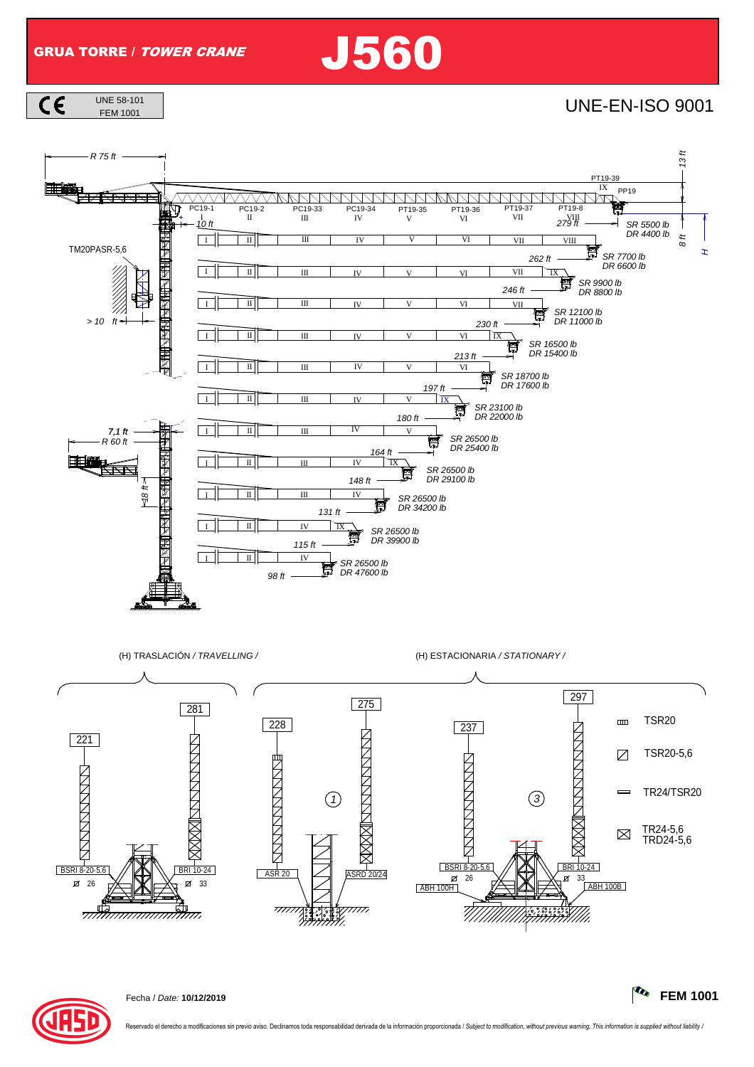GRUA TORRE / TOWER CRANE J560



 $\overline{BSRI8-20}$ 

ø

<del>, III *mmmmm*m</del>

 $BR1 10-24$ 

 $\overline{ASR}$  20  $\overline{ASR}$   $\overline{ASRD}$  20/24

אין האירון<br>אין האליין האליין

 $7777$ 

ABH 100B <sup>26</sup> <sup>33</sup>

,,,,,,

**RAMAN** 

Fecha / Date: **10/12/2019 FEM 1001**

TR24-5,6

TRD24-5,6

BRI 10-24

13. 38. 39. 39. 37. 7777<br>|}}}}}}}}}}}}

 $\overline{\mathcal{A} \quad 33}$   $\overline{\overline{\mathsf{ABH} \quad 100B}}$ 

 $\equiv$ 

 $\boxtimes$ 

TR24/TSR20

<u>BSRI 8-2</u><br>26 - ¤

777

ABH 100H

1)  $\qquad \qquad$  3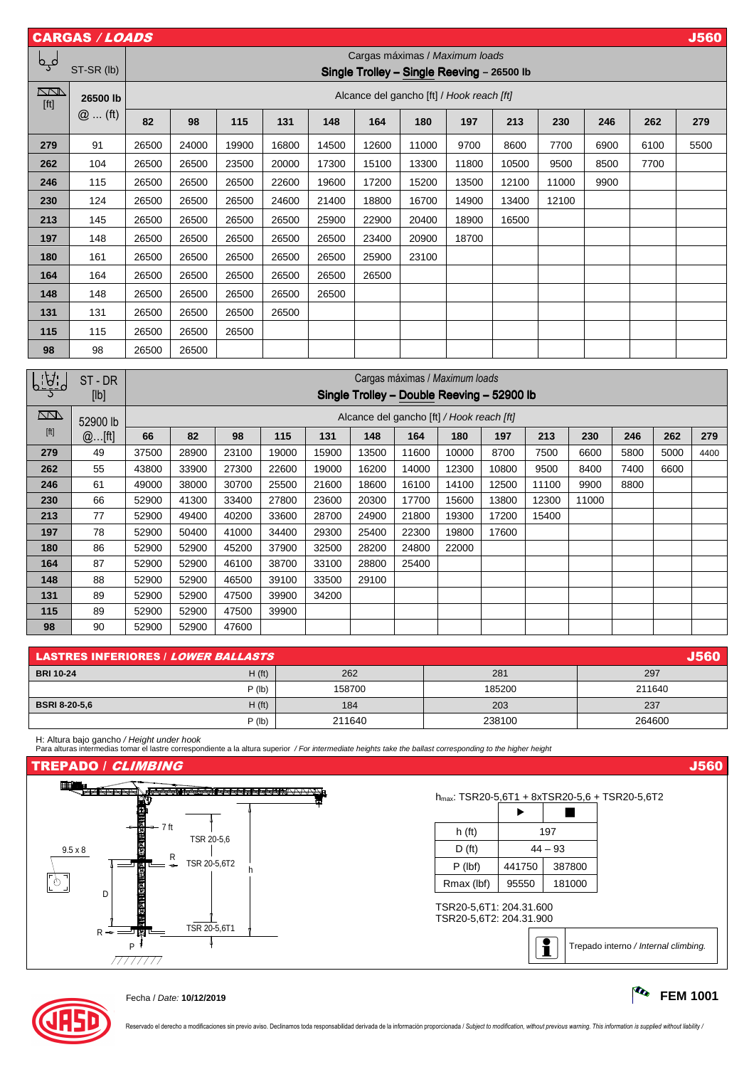|                | <b>CARGAS / LOADS</b>                      |                                            |                |                |                |                          |                                            |                |                                |                          |                |                          |                          |                | <b>J560</b>              |
|----------------|--------------------------------------------|--------------------------------------------|----------------|----------------|----------------|--------------------------|--------------------------------------------|----------------|--------------------------------|--------------------------|----------------|--------------------------|--------------------------|----------------|--------------------------|
| لمہا           |                                            |                                            |                |                |                |                          | Cargas máximas / Maximum loads             |                |                                |                          |                |                          |                          |                |                          |
|                | ST-SR (lb)                                 | Single Trolley - Single Reeving - 26500 lb |                |                |                |                          |                                            |                |                                |                          |                |                          |                          |                |                          |
| $\Box$<br>[ft] | 26500 lb                                   | Alcance del gancho [ft] / Hook reach [ft]  |                |                |                |                          |                                            |                |                                |                          |                |                          |                          |                |                          |
|                | $@$ (ft)                                   | 82                                         | 98             | 115            | 131            | 148                      | 164                                        | 180            | 197                            | 213                      | 230            | 246                      |                          | 262            | 279                      |
| 279            | 91                                         | 26500                                      | 24000          | 19900          | 16800          | 14500                    | 12600                                      | 11000          | 9700                           | 8600                     | 7700           | 6900                     |                          | 6100           | 5500                     |
| 262            | 104                                        | 26500                                      | 26500          | 23500          | 20000          | 17300                    | 15100                                      | 13300          | 11800                          | 10500                    | 9500           | 8500                     |                          | 7700           |                          |
| 246            | 115                                        | 26500                                      | 26500          | 26500          | 22600          | 19600                    | 17200                                      | 15200          | 13500                          | 12100                    | 11000          | 9900                     |                          |                |                          |
| 230            | 124                                        | 26500                                      | 26500          | 26500          | 24600          | 21400                    | 18800                                      | 16700          | 14900                          | 13400                    | 12100          |                          |                          |                |                          |
| 213            | 145                                        | 26500                                      | 26500          | 26500          | 26500          | 25900                    | 22900                                      | 20400          | 18900                          | 16500                    |                |                          |                          |                |                          |
| 197            | 148                                        | 26500                                      | 26500          | 26500          | 26500          | 26500                    | 23400                                      | 20900          | 18700                          |                          |                |                          |                          |                |                          |
| 180            | 161                                        | 26500                                      | 26500          | 26500          | 26500          | 26500                    | 25900                                      | 23100          |                                | —                        |                |                          |                          |                |                          |
| 164            | 164                                        | 26500                                      | 26500          | 26500          | 26500          | 26500                    | 26500                                      |                |                                |                          |                |                          |                          |                |                          |
| 148            | 148                                        | 26500                                      | 26500          | 26500          | 26500          | 26500                    |                                            |                |                                |                          |                |                          |                          |                |                          |
| 131            | 131                                        | 26500                                      | 26500          | 26500          | 26500          |                          |                                            |                |                                |                          |                |                          |                          |                |                          |
| 115            | 115                                        | 26500                                      | 26500          | 26500          |                |                          |                                            |                |                                |                          |                |                          |                          |                |                          |
| 98             | 98                                         | 26500                                      | 26500          |                |                |                          |                                            |                |                                |                          |                |                          |                          |                |                          |
|                |                                            |                                            |                |                |                |                          |                                            |                |                                |                          |                |                          |                          |                |                          |
| $\mathcal{A}$  | ST-DR                                      |                                            |                |                |                |                          |                                            |                | Cargas máximas / Maximum loads |                          |                |                          |                          |                |                          |
|                | [lb]                                       |                                            |                |                |                |                          | Single Trolley - Double Reeving - 52900 lb |                |                                |                          |                |                          |                          |                |                          |
| <u>kana</u>    | 52900 lb                                   |                                            |                |                |                |                          | Alcance del gancho [ft] / Hook reach [ft]  |                |                                |                          |                |                          |                          |                |                          |
| $[ft]$         | @[ft]                                      | 66                                         | 82             | 98             | 115            | 131                      | 148                                        | 164            | 180                            | 197                      | 213            | 230                      | 246                      | 262            | 279                      |
| 279            | 49                                         | 37500                                      | 28900          | 23100          | 19000          | 15900                    | 13500                                      | 11600          | 10000                          | 8700                     | 7500           | 6600                     | 5800                     | 5000           | 4400                     |
| 262            | 55                                         | 43800                                      | 33900          | 27300          | 22600          | 19000                    | 16200                                      | 14000          | 12300                          | 10800                    | 9500           | 8400                     | 7400                     | 6600           |                          |
| 246<br>230     | 61<br>66                                   | 49000<br>52900                             | 38000<br>41300 | 30700<br>33400 | 25500<br>27800 | 21600<br>23600           | 18600<br>20300                             | 16100<br>17700 | 14100<br>15600                 | 12500<br>13800           | 11100<br>12300 | 9900<br>11000            | 8800                     |                |                          |
| 213            | 77                                         | 52900                                      | 49400          | 40200          | 33600          | 28700                    | 24900                                      | 21800          | 19300                          | 17200                    | 15400          |                          |                          |                |                          |
| 197            | 78                                         | 52900                                      | 50400          | 41000          | 34400          | 29300                    | 25400                                      | 22300          | 19800                          | 17600                    |                | $\overline{\phantom{0}}$ | $\overline{\phantom{0}}$ |                |                          |
| 180            | 86                                         | 52900                                      | 52900          | 45200          | 37900          | 32500                    | 28200                                      | 24800          | 22000                          | $\overline{\phantom{0}}$ |                |                          |                          |                | $\overline{\phantom{0}}$ |
| 164            | 87                                         | 52900                                      | 52900          | 46100          | 38700          | 33100                    | 28800                                      | 25400          |                                |                          |                |                          |                          |                |                          |
| 148            | 88                                         | 52900                                      | 52900          | 46500          | 39100          | 33500                    | 29100                                      |                |                                |                          |                |                          |                          |                |                          |
| 131            | 89                                         | 52900                                      | 52900          | 47500          | 39900          | 34200                    |                                            |                |                                |                          |                |                          |                          |                |                          |
| 115            | 89                                         | 52900                                      | 52900          | 47500          | 39900          |                          |                                            |                |                                |                          |                |                          |                          |                |                          |
| 98             | 90                                         | 52900                                      | 52900          | 47600          |                | $\overline{\phantom{0}}$ |                                            |                | $\overline{\phantom{0}}$       |                          |                |                          |                          |                |                          |
|                |                                            |                                            |                |                |                |                          |                                            |                |                                |                          |                |                          |                          |                |                          |
| P <sub>1</sub> | <b>LASTRES INFERIORES / LOWER BALLASTS</b> |                                            |                |                |                | 000                      |                                            |                |                                | 0.04                     |                |                          |                          | 0 <sub>0</sub> | <b>J560</b>              |

| <b>J560</b><br><b>LASTRES INFERIORES / LOWER BALLASTS</b> |          |        |        |        |  |  |  |  |
|-----------------------------------------------------------|----------|--------|--------|--------|--|--|--|--|
| <b>BRI 10-24</b>                                          | H(ft)    | 262    | 281    | 297    |  |  |  |  |
|                                                           | $P$ (lb) | 158700 | 185200 | 211640 |  |  |  |  |
| <b>BSRI 8-20-5.6</b>                                      | H(ft)    | 184    | 203    | 237    |  |  |  |  |
|                                                           | $P$ (lb) | 211640 | 238100 | 264600 |  |  |  |  |

H: Altura bajo gancho / Height under hook<br>Para alturas intermedias tomar el lastre correspondiente a la altura superior */ For intermediate heights take the ballast corresponding to the higher height* 

## TREPADO / CLIMBING J560







Reservado el derecho a modificaciones sin previo aviso. Declinamos toda responsabilidad derivada de la información proporcionada / Subject to modification, without previous warning. This information is supplied without lia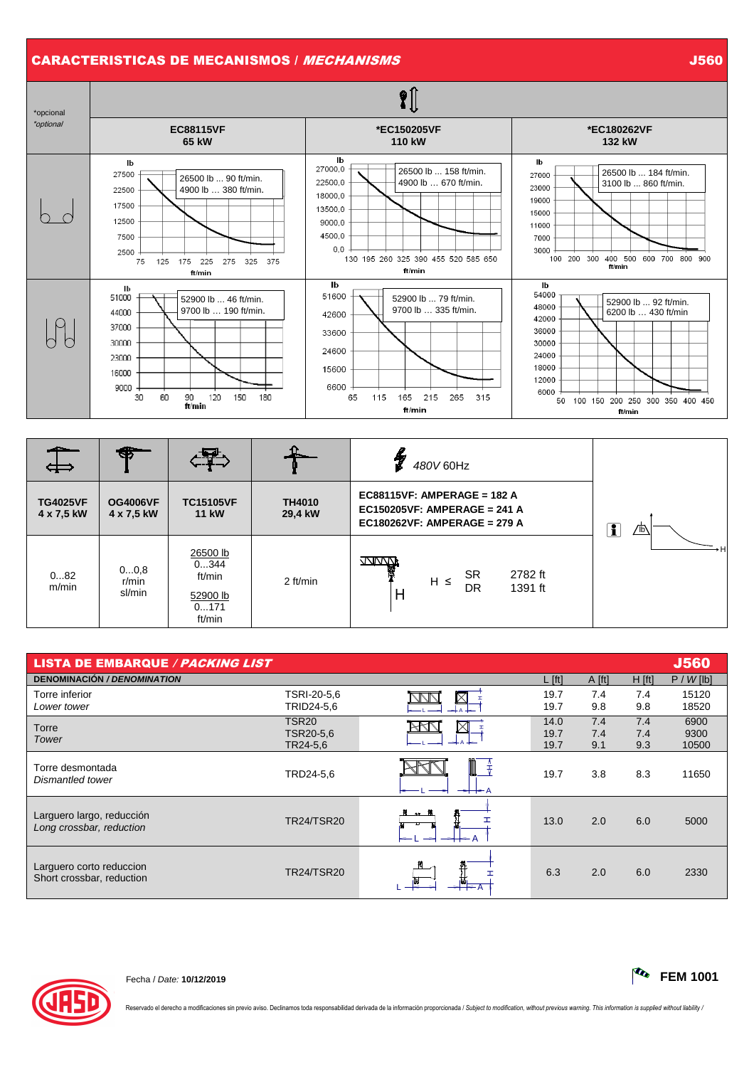## CARACTERISTICAS DE MECANISMOS / MECHANISMS J560



| ⇔                             | S.                            | ≁ਬਤੂਨ∽<br>-----                                          |                          | ag<br>M<br>480V 60Hz                                                                        |                 |
|-------------------------------|-------------------------------|----------------------------------------------------------|--------------------------|---------------------------------------------------------------------------------------------|-----------------|
| <b>TG4025VF</b><br>4 x 7,5 kW | <b>OG4006VF</b><br>4 x 7,5 kW | <b>TC15105VF</b><br><b>11 kW</b>                         | <b>TH4010</b><br>29,4 kW | EC88115VF: AMPERAGE = 182 A<br>EC150205VF: AMPERAGE = 241 A<br>EC180262VF: AMPERAGE = 279 A | i<br>$\sqrt{p}$ |
| 082<br>m/min                  | 00.8<br>r/min<br>sl/min       | 26500 lb<br>0344<br>ft/min<br>52900 lb<br>0171<br>ft/min | 2 ft/min                 | <b>ZZILVZVIR</b><br>SR.<br>2782 ft<br>$H \leq$<br>DR<br>1391 ft<br>Ħ                        |                 |

| <b>LISTA DE EMBARQUE / PACKING LIST</b>               |                                       |                   |                      |                   |                   | <b>J560</b>           |
|-------------------------------------------------------|---------------------------------------|-------------------|----------------------|-------------------|-------------------|-----------------------|
| <b>DENOMINACIÓN / DENOMINATION</b>                    |                                       |                   | $L$ [ft]             | $A$ [ft]          | H [ft]            | $P / W$ [lb]          |
| Torre inferior<br>Lower tower                         | TSRI-20-5,6<br>TRID24-5,6             | ⊠                 | 19.7<br>19.7         | 7.4<br>9.8        | 7.4<br>9.8        | 15120<br>18520        |
| Torre<br>Tower                                        | <b>TSR20</b><br>TSR20-5.6<br>TR24-5,6 |                   | 14.0<br>19.7<br>19.7 | 7.4<br>7.4<br>9.1 | 7.4<br>7.4<br>9.3 | 6900<br>9300<br>10500 |
| Torre desmontada<br>Dismantled tower                  | TRD24-5.6                             | $\rightarrow +$ A | 19.7                 | 3.8               | 8.3               | 11650                 |
| Larguero largo, reducción<br>Long crossbar, reduction | <b>TR24/TSR20</b>                     | $\overline{m}$    | 13.0                 | 2.0               | 6.0               | 5000                  |
| Larguero corto reduccion<br>Short crossbar, reduction | <b>TR24/TSR20</b>                     |                   | 6.3                  | 2.0               | 6.0               | 2330                  |



Reservado el derecho a modificaciones sin previo aviso. Declinamos toda responsabilidad derivada de la información proporcionada / Subject to modification, without previous warning. This information is supplied without lia